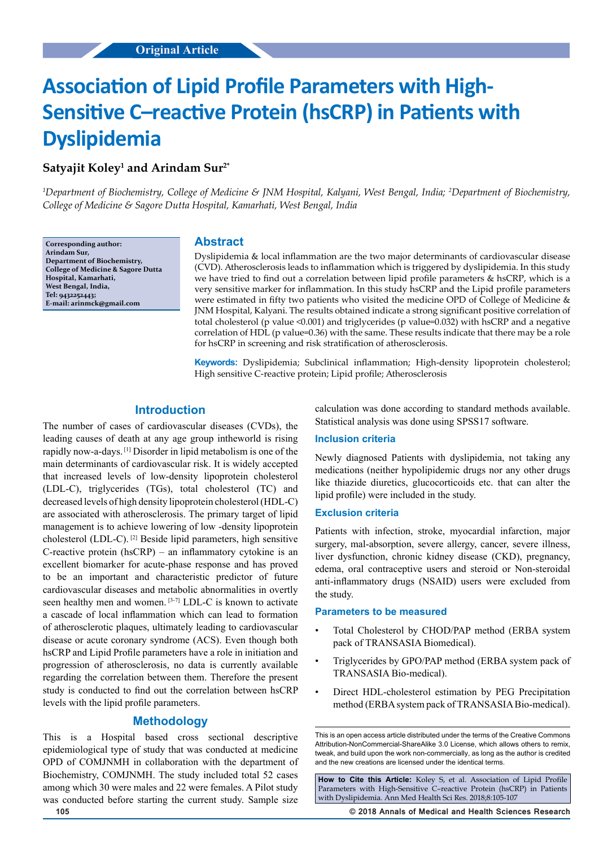# **Association of Lipid Profile Parameters with High-Sensitive C–reactive Protein (hsCRP) in Patients with Dyslipidemia**

## **Satyajit Koley1 and Arindam Sur2\***

*1 Department of Biochemistry, College of Medicine & JNM Hospital, Kalyani, West Bengal, India; 2 Department of Biochemistry, College of Medicine & Sagore Dutta Hospital, Kamarhati, West Bengal, India*

**Corresponding author: Arindam Sur, Department of Biochemistry, College of Medicine & Sagore Dutta Hospital, Kamarhati, West Bengal, India, Tel: 9432252443; E-mail: arinmck@gmail.com**

## **Abstract**

Dyslipidemia & local inflammation are the two major determinants of cardiovascular disease (CVD). Atherosclerosis leads to inflammation which is triggered by dyslipidemia. In this study we have tried to find out a correlation between lipid profile parameters & hsCRP, which is a very sensitive marker for inflammation. In this study hsCRP and the Lipid profile parameters were estimated in fifty two patients who visited the medicine OPD of College of Medicine & JNM Hospital, Kalyani. The results obtained indicate a strong significant positive correlation of total cholesterol (p value  $\leq 0.001$ ) and triglycerides (p value=0.032) with hsCRP and a negative correlation of HDL (p value=0.36) with the same. These results indicate that there may be a role for hsCRP in screening and risk stratification of atherosclerosis.

**Keywords:** Dyslipidemia; Subclinical inflammation; High-density lipoprotein cholesterol; High sensitive C-reactive protein; Lipid profile; Atherosclerosis

## **Introduction**

The number of cases of cardiovascular diseases (CVDs), the leading causes of death at any age group intheworld is rising rapidly now-a-days. [1] Disorder in lipid metabolism is one of the main determinants of cardiovascular risk. It is widely accepted that increased levels of low-density lipoprotein cholesterol (LDL-C), triglycerides (TGs), total cholesterol (TC) and decreased levels of high density lipoprotein cholesterol (HDL-C) are associated with atherosclerosis. The primary target of lipid management is to achieve lowering of low -density lipoprotein cholesterol (LDL-C). [2] Beside lipid parameters, high sensitive C-reactive protein (hsCRP) – an inflammatory cytokine is an excellent biomarker for acute-phase response and has proved to be an important and characteristic predictor of future cardiovascular diseases and metabolic abnormalities in overtly seen healthy men and women. [3-7] LDL-C is known to activate a cascade of local inflammation which can lead to formation of atherosclerotic plaques, ultimately leading to cardiovascular disease or acute coronary syndrome (ACS). Even though both hsCRP and Lipid Profile parameters have a role in initiation and progression of atherosclerosis, no data is currently available regarding the correlation between them. Therefore the present study is conducted to find out the correlation between hsCRP levels with the lipid profile parameters.

## **Methodology**

This is a Hospital based cross sectional descriptive epidemiological type of study that was conducted at medicine OPD of COMJNMH in collaboration with the department of Biochemistry, COMJNMH. The study included total 52 cases among which 30 were males and 22 were females. A Pilot study was conducted before starting the current study. Sample size

calculation was done according to standard methods available. Statistical analysis was done using SPSS17 software.

#### **Inclusion criteria**

Newly diagnosed Patients with dyslipidemia, not taking any medications (neither hypolipidemic drugs nor any other drugs like thiazide diuretics, glucocorticoids etc. that can alter the lipid profile) were included in the study.

### **Exclusion criteria**

Patients with infection, stroke, myocardial infarction, major surgery, mal-absorption, severe allergy, cancer, severe illness, liver dysfunction, chronic kidney disease (CKD), pregnancy, edema, oral contraceptive users and steroid or Non-steroidal anti-inflammatory drugs (NSAID) users were excluded from the study.

#### **Parameters to be measured**

- Total Cholesterol by CHOD/PAP method (ERBA system pack of TRANSASIA Biomedical).
- Triglycerides by GPO/PAP method (ERBA system pack of TRANSASIA Bio-medical).
- Direct HDL-cholesterol estimation by PEG Precipitation method (ERBA system pack of TRANSASIA Bio-medical).

**How to Cite this Article:** Koley S, et al. Association of Lipid Profile Parameters with High-Sensitive C–reactive Protein (hsCRP) in Patients with Dyslipidemia. Ann Med Health Sci Res. 2018;8:105-107

**105 © 2018 Annals of Medical and Health Sciences Research** 

This is an open access article distributed under the terms of the Creative Commons Attribution-NonCommercial-ShareAlike 3.0 License, which allows others to remix, tweak, and build upon the work non‑commercially, as long as the author is credited and the new creations are licensed under the identical terms.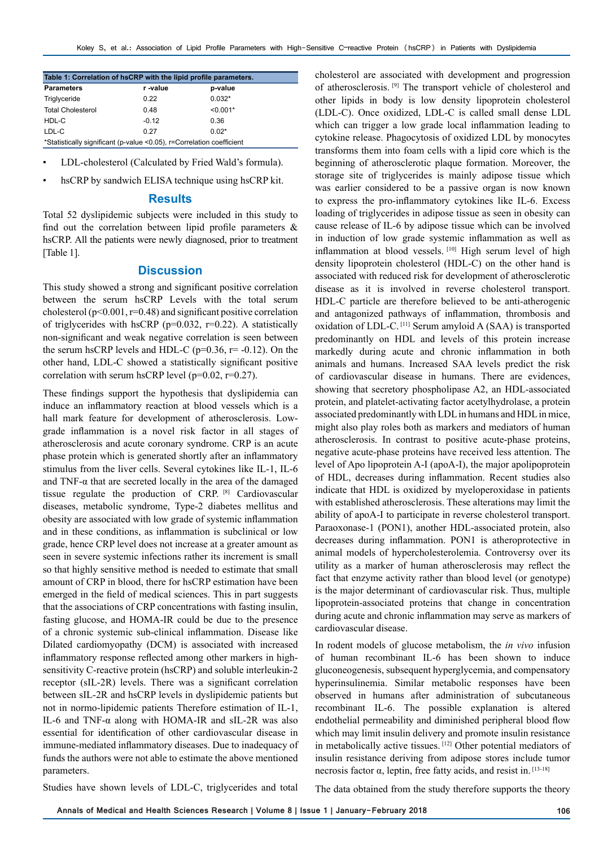| Table 1: Correlation of hsCRP with the lipid profile parameters.      |         |            |
|-----------------------------------------------------------------------|---------|------------|
| <b>Parameters</b>                                                     | r-value | p-value    |
| Triglyceride                                                          | 0.22    | $0.032*$   |
| <b>Total Cholesterol</b>                                              | 0.48    | $< 0.001*$ |
| HDL-C                                                                 | $-0.12$ | 0.36       |
| LDL-C                                                                 | 0.27    | $0.02*$    |
| *Statistically significant (p-value <0.05), r=Correlation coefficient |         |            |

- LDL-cholesterol (Calculated by Fried Wald's formula).
- hsCRP by sandwich ELISA technique using hsCRP kit.

#### **Results**

Total 52 dyslipidemic subjects were included in this study to find out the correlation between lipid profile parameters & hsCRP. All the patients were newly diagnosed, prior to treatment [Table 1].

## **Discussion**

This study showed a strong and significant positive correlation between the serum hsCRP Levels with the total serum cholesterol ( $p$ <0.001,  $r$ =0.48) and significant positive correlation of triglycerides with hsCRP ( $p=0.032$ ,  $r=0.22$ ). A statistically non-significant and weak negative correlation is seen between the serum hsCRP levels and HDL-C ( $p=0.36$ ,  $r=-0.12$ ). On the other hand, LDL-C showed a statistically significant positive correlation with serum hsCRP level ( $p=0.02$ ,  $r=0.27$ ).

These findings support the hypothesis that dyslipidemia can induce an inflammatory reaction at blood vessels which is a hall mark feature for development of atherosclerosis. Lowgrade inflammation is a novel risk factor in all stages of atherosclerosis and acute coronary syndrome. CRP is an acute phase protein which is generated shortly after an inflammatory stimulus from the liver cells. Several cytokines like IL-1, IL-6 and TNF- $\alpha$  that are secreted locally in the area of the damaged tissue regulate the production of CRP. [8] Cardiovascular diseases, metabolic syndrome, Type-2 diabetes mellitus and obesity are associated with low grade of systemic inflammation and in these conditions, as inflammation is subclinical or low grade, hence CRP level does not increase at a greater amount as seen in severe systemic infections rather its increment is small so that highly sensitive method is needed to estimate that small amount of CRP in blood, there for hsCRP estimation have been emerged in the field of medical sciences. This in part suggests that the associations of CRP concentrations with fasting insulin, fasting glucose, and HOMA-IR could be due to the presence of a chronic systemic sub-clinical inflammation. Disease like Dilated cardiomyopathy (DCM) is associated with increased inflammatory response reflected among other markers in highsensitivity C-reactive protein (hsCRP) and soluble interleukin-2 receptor (sIL-2R) levels. There was a significant correlation between sIL-2R and hsCRP levels in dyslipidemic patients but not in normo-lipidemic patients Therefore estimation of IL-1, IL-6 and TNF-α along with HOMA-IR and sIL-2R was also essential for identification of other cardiovascular disease in immune-mediated inflammatory diseases. Due to inadequacy of funds the authors were not able to estimate the above mentioned parameters.

cholesterol are associated with development and progression of atherosclerosis. [9] The transport vehicle of cholesterol and other lipids in body is low density lipoprotein cholesterol (LDL-C). Once oxidized, LDL-C is called small dense LDL which can trigger a low grade local inflammation leading to cytokine release. Phagocytosis of oxidized LDL by monocytes transforms them into foam cells with a lipid core which is the beginning of atherosclerotic plaque formation. Moreover, the storage site of triglycerides is mainly adipose tissue which was earlier considered to be a passive organ is now known to express the pro-inflammatory cytokines like IL-6. Excess loading of triglycerides in adipose tissue as seen in obesity can cause release of IL-6 by adipose tissue which can be involved in induction of low grade systemic inflammation as well as inflammation at blood vessels. [10] High serum level of high density lipoprotein cholesterol (HDL-C) on the other hand is associated with reduced risk for development of atherosclerotic disease as it is involved in reverse cholesterol transport. HDL-C particle are therefore believed to be anti-atherogenic and antagonized pathways of inflammation, thrombosis and oxidation of LDL-C. [11] Serum amyloid A (SAA) is transported predominantly on HDL and levels of this protein increase markedly during acute and chronic inflammation in both animals and humans. Increased SAA levels predict the risk of cardiovascular disease in humans. There are evidences, showing that secretory phospholipase A2, an HDL-associated protein, and platelet-activating factor acetylhydrolase, a protein associated predominantly with LDL in humans and HDL in mice, might also play roles both as markers and mediators of human atherosclerosis. In contrast to positive acute-phase proteins, negative acute-phase proteins have received less attention. The level of Apo lipoprotein A-I (apoA-I), the major apolipoprotein of HDL, decreases during inflammation. Recent studies also indicate that HDL is oxidized by myeloperoxidase in patients with established atherosclerosis. These alterations may limit the ability of apoA-I to participate in reverse cholesterol transport. Paraoxonase-1 (PON1), another HDL-associated protein, also decreases during inflammation. PON1 is atheroprotective in animal models of hypercholesterolemia. Controversy over its utility as a marker of human atherosclerosis may reflect the fact that enzyme activity rather than blood level (or genotype) is the major determinant of cardiovascular risk. Thus, multiple lipoprotein-associated proteins that change in concentration during acute and chronic inflammation may serve as markers of cardiovascular disease.

In rodent models of glucose metabolism, the *in vivo* infusion of human recombinant IL-6 has been shown to induce gluconeogenesis, subsequent hyperglycemia, and compensatory hyperinsulinemia. Similar metabolic responses have been observed in humans after administration of subcutaneous recombinant IL-6. The possible explanation is altered endothelial permeability and diminished peripheral blood flow which may limit insulin delivery and promote insulin resistance in metabolically active tissues. [12] Other potential mediators of insulin resistance deriving from adipose stores include tumor necrosis factor α, leptin, free fatty acids, and resist in.  $[13-18]$ 

Studies have shown levels of LDL-C, triglycerides and total

The data obtained from the study therefore supports the theory